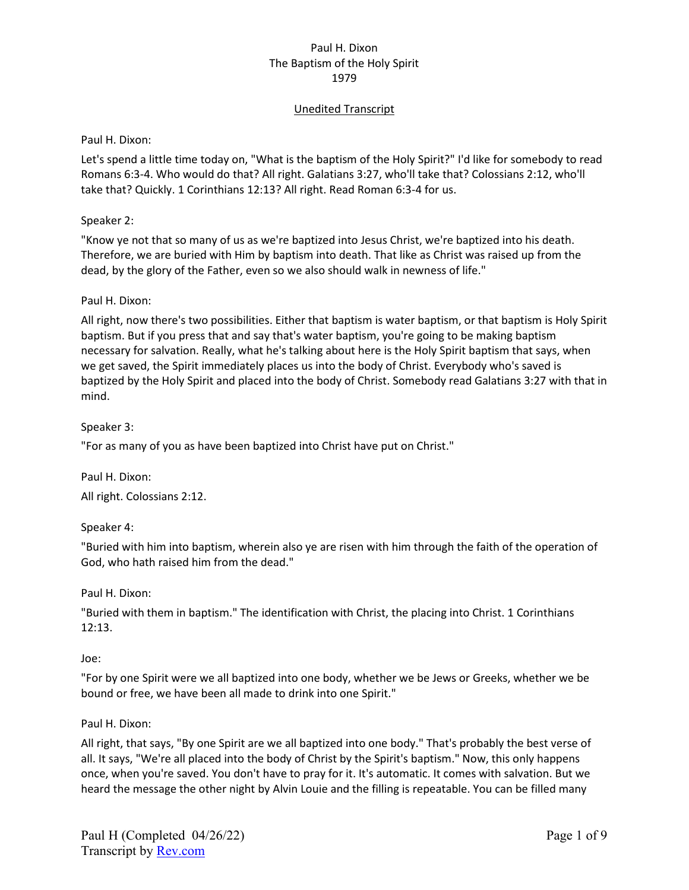# Unedited Transcript

Paul H. Dixon:

Let's spend a little time today on, "What is the baptism of the Holy Spirit?" I'd like for somebody to read Romans 6:3-4. Who would do that? All right. Galatians 3:27, who'll take that? Colossians 2:12, who'll take that? Quickly. 1 Corinthians 12:13? All right. Read Roman 6:3-4 for us.

## Speaker 2:

"Know ye not that so many of us as we're baptized into Jesus Christ, we're baptized into his death. Therefore, we are buried with Him by baptism into death. That like as Christ was raised up from the dead, by the glory of the Father, even so we also should walk in newness of life."

### Paul H. Dixon:

All right, now there's two possibilities. Either that baptism is water baptism, or that baptism is Holy Spirit baptism. But if you press that and say that's water baptism, you're going to be making baptism necessary for salvation. Really, what he's talking about here is the Holy Spirit baptism that says, when we get saved, the Spirit immediately places us into the body of Christ. Everybody who's saved is baptized by the Holy Spirit and placed into the body of Christ. Somebody read Galatians 3:27 with that in mind.

### Speaker 3:

"For as many of you as have been baptized into Christ have put on Christ."

Paul H. Dixon:

All right. Colossians 2:12.

## Speaker 4:

"Buried with him into baptism, wherein also ye are risen with him through the faith of the operation of God, who hath raised him from the dead."

#### Paul H. Dixon:

"Buried with them in baptism." The identification with Christ, the placing into Christ. 1 Corinthians 12:13.

#### Joe:

"For by one Spirit were we all baptized into one body, whether we be Jews or Greeks, whether we be bound or free, we have been all made to drink into one Spirit."

#### Paul H. Dixon:

All right, that says, "By one Spirit are we all baptized into one body." That's probably the best verse of all. It says, "We're all placed into the body of Christ by the Spirit's baptism." Now, this only happens once, when you're saved. You don't have to pray for it. It's automatic. It comes with salvation. But we heard the message the other night by Alvin Louie and the filling is repeatable. You can be filled many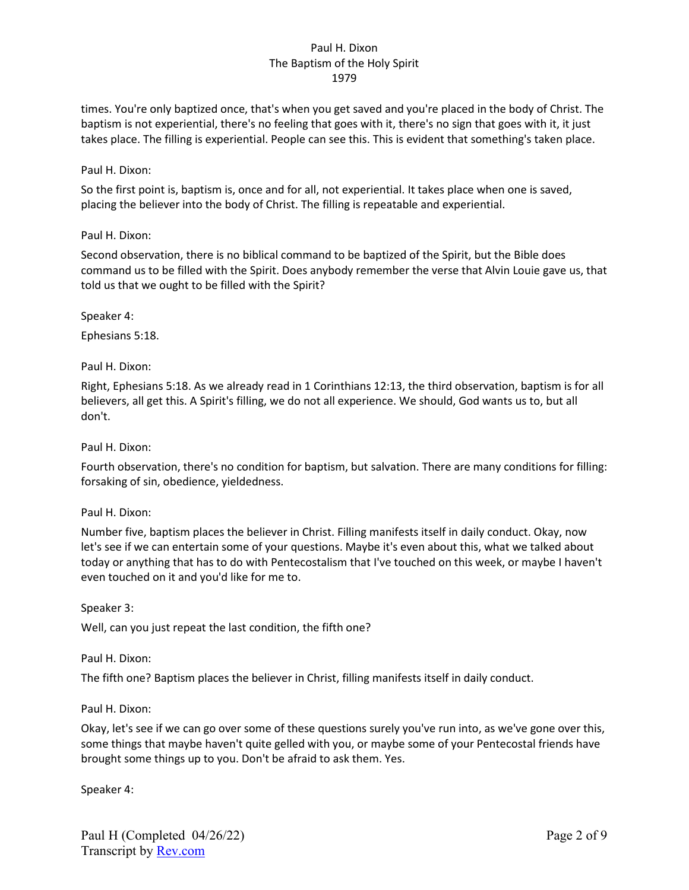times. You're only baptized once, that's when you get saved and you're placed in the body of Christ. The baptism is not experiential, there's no feeling that goes with it, there's no sign that goes with it, it just takes place. The filling is experiential. People can see this. This is evident that something's taken place.

## Paul H. Dixon:

So the first point is, baptism is, once and for all, not experiential. It takes place when one is saved, placing the believer into the body of Christ. The filling is repeatable and experiential.

### Paul H. Dixon:

Second observation, there is no biblical command to be baptized of the Spirit, but the Bible does command us to be filled with the Spirit. Does anybody remember the verse that Alvin Louie gave us, that told us that we ought to be filled with the Spirit?

Speaker 4:

Ephesians 5:18.

Paul H. Dixon:

Right, Ephesians 5:18. As we already read in 1 Corinthians 12:13, the third observation, baptism is for all believers, all get this. A Spirit's filling, we do not all experience. We should, God wants us to, but all don't.

Paul H. Dixon:

Fourth observation, there's no condition for baptism, but salvation. There are many conditions for filling: forsaking of sin, obedience, yieldedness.

## Paul H. Dixon:

Number five, baptism places the believer in Christ. Filling manifests itself in daily conduct. Okay, now let's see if we can entertain some of your questions. Maybe it's even about this, what we talked about today or anything that has to do with Pentecostalism that I've touched on this week, or maybe I haven't even touched on it and you'd like for me to.

Speaker 3:

Well, can you just repeat the last condition, the fifth one?

#### Paul H. Dixon:

The fifth one? Baptism places the believer in Christ, filling manifests itself in daily conduct.

#### Paul H. Dixon:

Okay, let's see if we can go over some of these questions surely you've run into, as we've gone over this, some things that maybe haven't quite gelled with you, or maybe some of your Pentecostal friends have brought some things up to you. Don't be afraid to ask them. Yes.

Speaker 4: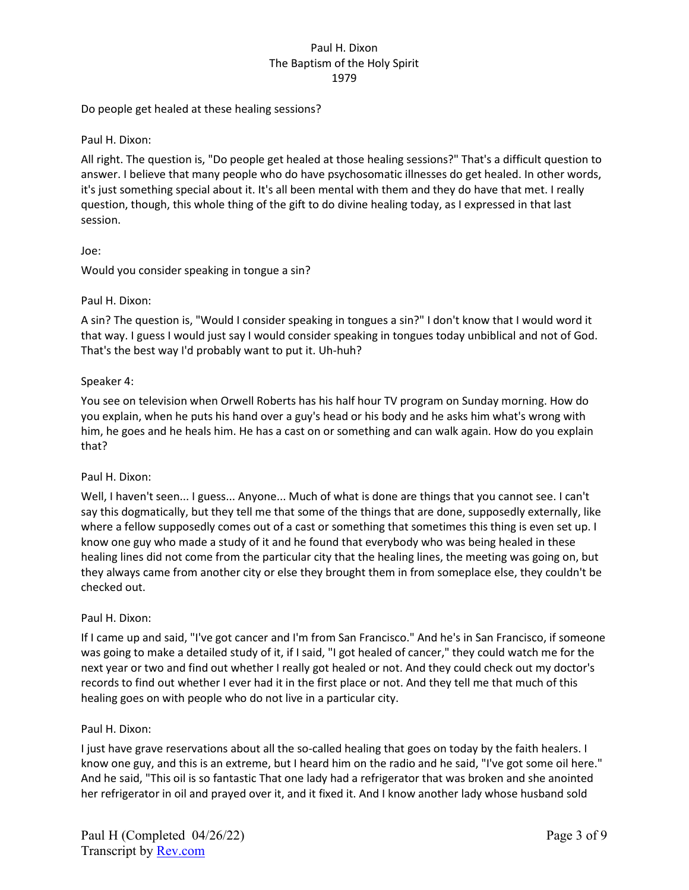Do people get healed at these healing sessions?

Paul H. Dixon:

All right. The question is, "Do people get healed at those healing sessions?" That's a difficult question to answer. I believe that many people who do have psychosomatic illnesses do get healed. In other words, it's just something special about it. It's all been mental with them and they do have that met. I really question, though, this whole thing of the gift to do divine healing today, as I expressed in that last session.

Joe:

Would you consider speaking in tongue a sin?

Paul H. Dixon:

A sin? The question is, "Would I consider speaking in tongues a sin?" I don't know that I would word it that way. I guess I would just say I would consider speaking in tongues today unbiblical and not of God. That's the best way I'd probably want to put it. Uh-huh?

Speaker 4:

You see on television when Orwell Roberts has his half hour TV program on Sunday morning. How do you explain, when he puts his hand over a guy's head or his body and he asks him what's wrong with him, he goes and he heals him. He has a cast on or something and can walk again. How do you explain that?

Paul H. Dixon:

Well, I haven't seen... I guess... Anyone... Much of what is done are things that you cannot see. I can't say this dogmatically, but they tell me that some of the things that are done, supposedly externally, like where a fellow supposedly comes out of a cast or something that sometimes this thing is even set up. I know one guy who made a study of it and he found that everybody who was being healed in these healing lines did not come from the particular city that the healing lines, the meeting was going on, but they always came from another city or else they brought them in from someplace else, they couldn't be checked out.

## Paul H. Dixon:

If I came up and said, "I've got cancer and I'm from San Francisco." And he's in San Francisco, if someone was going to make a detailed study of it, if I said, "I got healed of cancer," they could watch me for the next year or two and find out whether I really got healed or not. And they could check out my doctor's records to find out whether I ever had it in the first place or not. And they tell me that much of this healing goes on with people who do not live in a particular city.

#### Paul H. Dixon:

I just have grave reservations about all the so-called healing that goes on today by the faith healers. I know one guy, and this is an extreme, but I heard him on the radio and he said, "I've got some oil here." And he said, "This oil is so fantastic That one lady had a refrigerator that was broken and she anointed her refrigerator in oil and prayed over it, and it fixed it. And I know another lady whose husband sold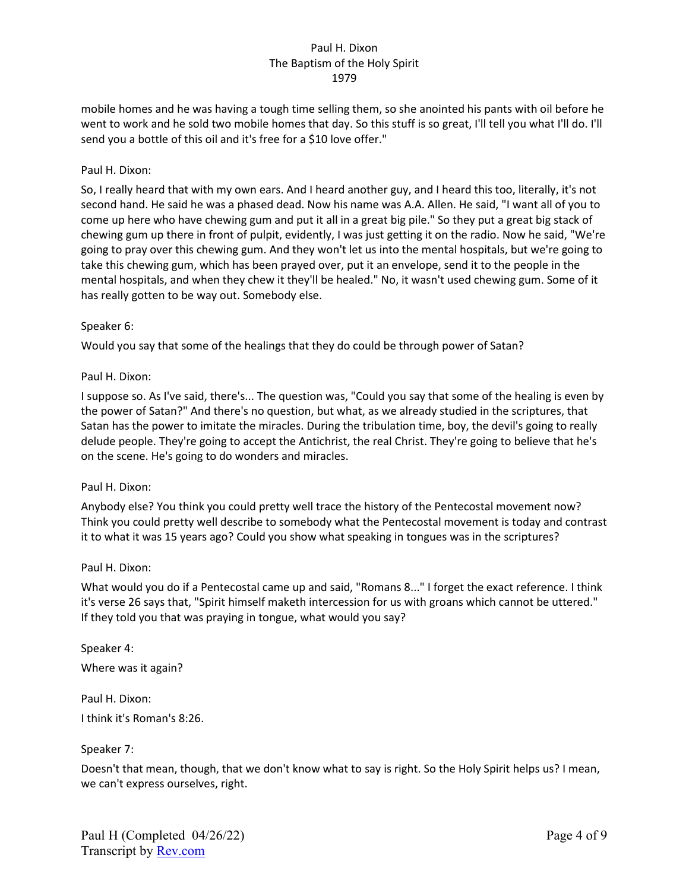mobile homes and he was having a tough time selling them, so she anointed his pants with oil before he went to work and he sold two mobile homes that day. So this stuff is so great, I'll tell you what I'll do. I'll send you a bottle of this oil and it's free for a \$10 love offer."

### Paul H. Dixon:

So, I really heard that with my own ears. And I heard another guy, and I heard this too, literally, it's not second hand. He said he was a phased dead. Now his name was A.A. Allen. He said, "I want all of you to come up here who have chewing gum and put it all in a great big pile." So they put a great big stack of chewing gum up there in front of pulpit, evidently, I was just getting it on the radio. Now he said, "We're going to pray over this chewing gum. And they won't let us into the mental hospitals, but we're going to take this chewing gum, which has been prayed over, put it an envelope, send it to the people in the mental hospitals, and when they chew it they'll be healed." No, it wasn't used chewing gum. Some of it has really gotten to be way out. Somebody else.

#### Speaker 6:

Would you say that some of the healings that they do could be through power of Satan?

### Paul H. Dixon:

I suppose so. As I've said, there's... The question was, "Could you say that some of the healing is even by the power of Satan?" And there's no question, but what, as we already studied in the scriptures, that Satan has the power to imitate the miracles. During the tribulation time, boy, the devil's going to really delude people. They're going to accept the Antichrist, the real Christ. They're going to believe that he's on the scene. He's going to do wonders and miracles.

#### Paul H. Dixon:

Anybody else? You think you could pretty well trace the history of the Pentecostal movement now? Think you could pretty well describe to somebody what the Pentecostal movement is today and contrast it to what it was 15 years ago? Could you show what speaking in tongues was in the scriptures?

#### Paul H. Dixon:

What would you do if a Pentecostal came up and said, "Romans 8..." I forget the exact reference. I think it's verse 26 says that, "Spirit himself maketh intercession for us with groans which cannot be uttered." If they told you that was praying in tongue, what would you say?

Speaker 4: Where was it again?

Paul H. Dixon: I think it's Roman's 8:26.

## Speaker 7:

Doesn't that mean, though, that we don't know what to say is right. So the Holy Spirit helps us? I mean, we can't express ourselves, right.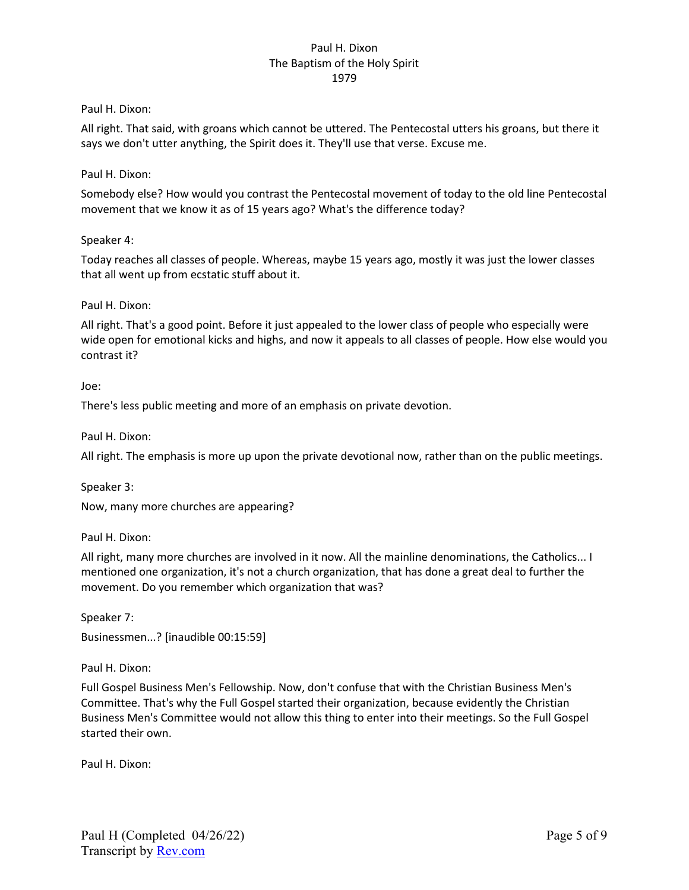### Paul H. Dixon:

All right. That said, with groans which cannot be uttered. The Pentecostal utters his groans, but there it says we don't utter anything, the Spirit does it. They'll use that verse. Excuse me.

## Paul H. Dixon:

Somebody else? How would you contrast the Pentecostal movement of today to the old line Pentecostal movement that we know it as of 15 years ago? What's the difference today?

### Speaker 4:

Today reaches all classes of people. Whereas, maybe 15 years ago, mostly it was just the lower classes that all went up from ecstatic stuff about it.

### Paul H. Dixon:

All right. That's a good point. Before it just appealed to the lower class of people who especially were wide open for emotional kicks and highs, and now it appeals to all classes of people. How else would you contrast it?

#### Joe:

There's less public meeting and more of an emphasis on private devotion.

Paul H. Dixon:

All right. The emphasis is more up upon the private devotional now, rather than on the public meetings.

Speaker 3:

Now, many more churches are appearing?

Paul H. Dixon:

All right, many more churches are involved in it now. All the mainline denominations, the Catholics... I mentioned one organization, it's not a church organization, that has done a great deal to further the movement. Do you remember which organization that was?

Speaker 7: Businessmen...? [inaudible 00:15:59]

Paul H. Dixon:

Full Gospel Business Men's Fellowship. Now, don't confuse that with the Christian Business Men's Committee. That's why the Full Gospel started their organization, because evidently the Christian Business Men's Committee would not allow this thing to enter into their meetings. So the Full Gospel started their own.

Paul H. Dixon: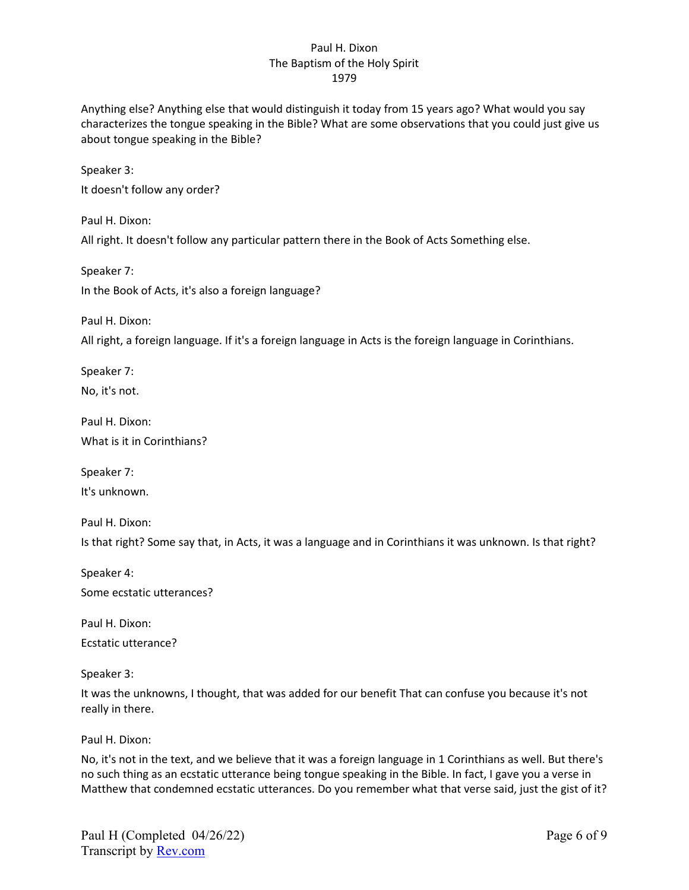Anything else? Anything else that would distinguish it today from 15 years ago? What would you say characterizes the tongue speaking in the Bible? What are some observations that you could just give us about tongue speaking in the Bible?

Speaker 3: It doesn't follow any order?

Paul H. Dixon: All right. It doesn't follow any particular pattern there in the Book of Acts Something else.

Speaker 7: In the Book of Acts, it's also a foreign language?

Paul H. Dixon:

All right, a foreign language. If it's a foreign language in Acts is the foreign language in Corinthians.

Speaker 7: No, it's not.

Paul H. Dixon: What is it in Corinthians?

Speaker 7: It's unknown.

Paul H. Dixon: Is that right? Some say that, in Acts, it was a language and in Corinthians it was unknown. Is that right?

Speaker 4: Some ecstatic utterances?

Paul H. Dixon: Ecstatic utterance?

Speaker 3:

It was the unknowns, I thought, that was added for our benefit That can confuse you because it's not really in there.

Paul H. Dixon:

No, it's not in the text, and we believe that it was a foreign language in 1 Corinthians as well. But there's no such thing as an ecstatic utterance being tongue speaking in the Bible. In fact, I gave you a verse in Matthew that condemned ecstatic utterances. Do you remember what that verse said, just the gist of it?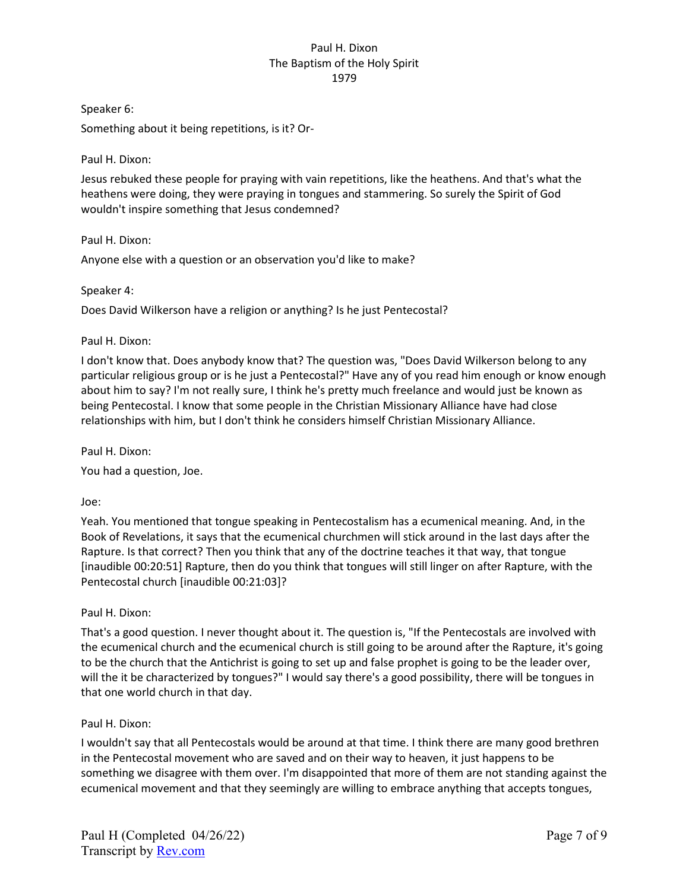Speaker 6:

Something about it being repetitions, is it? Or-

Paul H. Dixon:

Jesus rebuked these people for praying with vain repetitions, like the heathens. And that's what the heathens were doing, they were praying in tongues and stammering. So surely the Spirit of God wouldn't inspire something that Jesus condemned?

Paul H. Dixon:

Anyone else with a question or an observation you'd like to make?

Speaker 4:

Does David Wilkerson have a religion or anything? Is he just Pentecostal?

Paul H. Dixon:

I don't know that. Does anybody know that? The question was, "Does David Wilkerson belong to any particular religious group or is he just a Pentecostal?" Have any of you read him enough or know enough about him to say? I'm not really sure, I think he's pretty much freelance and would just be known as being Pentecostal. I know that some people in the Christian Missionary Alliance have had close relationships with him, but I don't think he considers himself Christian Missionary Alliance.

Paul H. Dixon:

You had a question, Joe.

Joe:

Yeah. You mentioned that tongue speaking in Pentecostalism has a ecumenical meaning. And, in the Book of Revelations, it says that the ecumenical churchmen will stick around in the last days after the Rapture. Is that correct? Then you think that any of the doctrine teaches it that way, that tongue [inaudible 00:20:51] Rapture, then do you think that tongues will still linger on after Rapture, with the Pentecostal church [inaudible 00:21:03]?

Paul H. Dixon:

That's a good question. I never thought about it. The question is, "If the Pentecostals are involved with the ecumenical church and the ecumenical church is still going to be around after the Rapture, it's going to be the church that the Antichrist is going to set up and false prophet is going to be the leader over, will the it be characterized by tongues?" I would say there's a good possibility, there will be tongues in that one world church in that day.

Paul H. Dixon:

I wouldn't say that all Pentecostals would be around at that time. I think there are many good brethren in the Pentecostal movement who are saved and on their way to heaven, it just happens to be something we disagree with them over. I'm disappointed that more of them are not standing against the ecumenical movement and that they seemingly are willing to embrace anything that accepts tongues,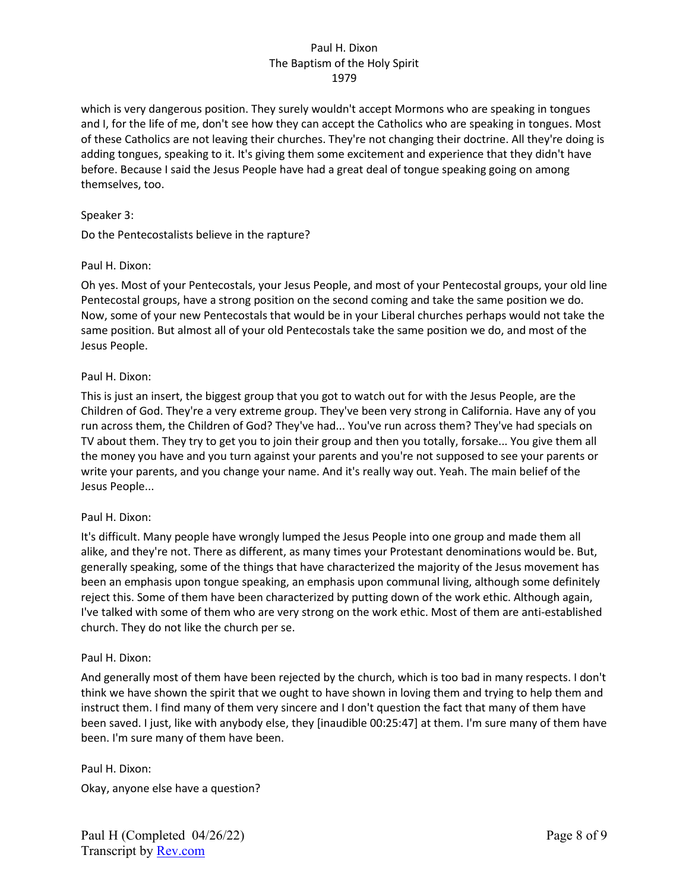which is very dangerous position. They surely wouldn't accept Mormons who are speaking in tongues and I, for the life of me, don't see how they can accept the Catholics who are speaking in tongues. Most of these Catholics are not leaving their churches. They're not changing their doctrine. All they're doing is adding tongues, speaking to it. It's giving them some excitement and experience that they didn't have before. Because I said the Jesus People have had a great deal of tongue speaking going on among themselves, too.

## Speaker 3:

Do the Pentecostalists believe in the rapture?

### Paul H. Dixon:

Oh yes. Most of your Pentecostals, your Jesus People, and most of your Pentecostal groups, your old line Pentecostal groups, have a strong position on the second coming and take the same position we do. Now, some of your new Pentecostals that would be in your Liberal churches perhaps would not take the same position. But almost all of your old Pentecostals take the same position we do, and most of the Jesus People.

### Paul H. Dixon:

This is just an insert, the biggest group that you got to watch out for with the Jesus People, are the Children of God. They're a very extreme group. They've been very strong in California. Have any of you run across them, the Children of God? They've had... You've run across them? They've had specials on TV about them. They try to get you to join their group and then you totally, forsake... You give them all the money you have and you turn against your parents and you're not supposed to see your parents or write your parents, and you change your name. And it's really way out. Yeah. The main belief of the Jesus People...

## Paul H. Dixon:

It's difficult. Many people have wrongly lumped the Jesus People into one group and made them all alike, and they're not. There as different, as many times your Protestant denominations would be. But, generally speaking, some of the things that have characterized the majority of the Jesus movement has been an emphasis upon tongue speaking, an emphasis upon communal living, although some definitely reject this. Some of them have been characterized by putting down of the work ethic. Although again, I've talked with some of them who are very strong on the work ethic. Most of them are anti-established church. They do not like the church per se.

#### Paul H. Dixon:

And generally most of them have been rejected by the church, which is too bad in many respects. I don't think we have shown the spirit that we ought to have shown in loving them and trying to help them and instruct them. I find many of them very sincere and I don't question the fact that many of them have been saved. I just, like with anybody else, they [inaudible 00:25:47] at them. I'm sure many of them have been. I'm sure many of them have been.

Paul H. Dixon: Okay, anyone else have a question?